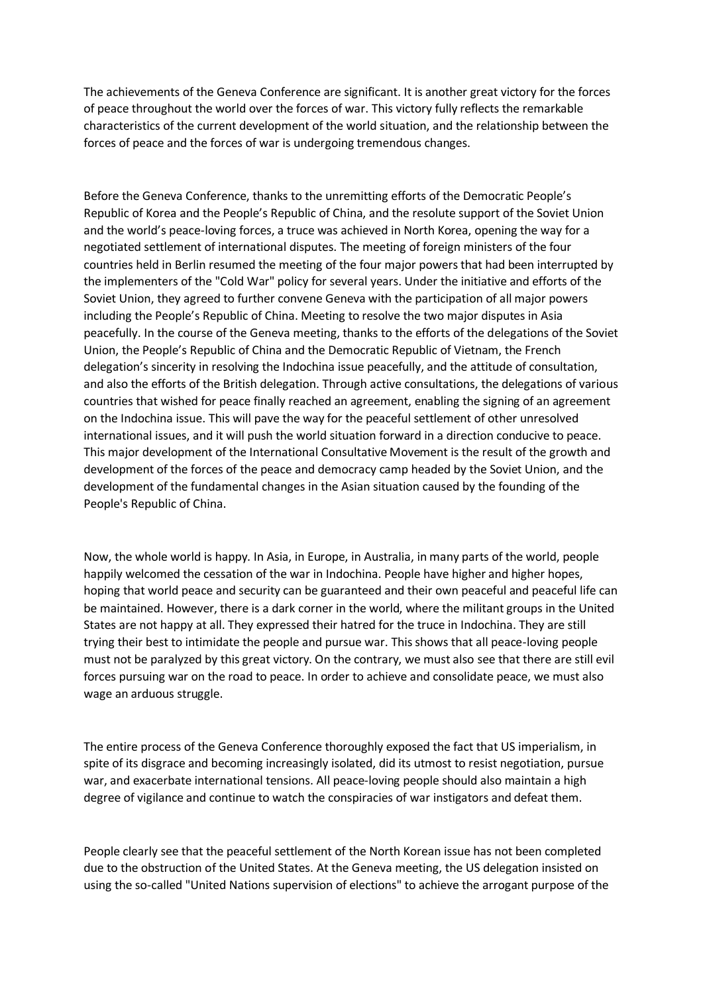The achievements of the Geneva Conference are significant. It is another great victory for the forces of peace throughout the world over the forces of war. This victory fully reflects the remarkable characteristics of the current development of the world situation, and the relationship between the forces of peace and the forces of war is undergoing tremendous changes.

Before the Geneva Conference, thanks to the unremitting efforts of the Democratic People's Republic of Korea and the People's Republic of China, and the resolute support of the Soviet Union and the world's peace-loving forces, a truce was achieved in North Korea, opening the way for a negotiated settlement of international disputes. The meeting of foreign ministers of the four countries held in Berlin resumed the meeting of the four major powers that had been interrupted by the implementers of the "Cold War" policy for several years. Under the initiative and efforts of the Soviet Union, they agreed to further convene Geneva with the participation of all major powers including the People's Republic of China. Meeting to resolve the two major disputes in Asia peacefully. In the course of the Geneva meeting, thanks to the efforts of the delegations of the Soviet Union, the People's Republic of China and the Democratic Republic of Vietnam, the French delegation's sincerity in resolving the Indochina issue peacefully, and the attitude of consultation, and also the efforts of the British delegation. Through active consultations, the delegations of various countries that wished for peace finally reached an agreement, enabling the signing of an agreement on the Indochina issue. This will pave the way for the peaceful settlement of other unresolved international issues, and it will push the world situation forward in a direction conducive to peace. This major development of the International Consultative Movement is the result of the growth and development of the forces of the peace and democracy camp headed by the Soviet Union, and the development of the fundamental changes in the Asian situation caused by the founding of the People's Republic of China.

Now, the whole world is happy. In Asia, in Europe, in Australia, in many parts of the world, people happily welcomed the cessation of the war in Indochina. People have higher and higher hopes, hoping that world peace and security can be guaranteed and their own peaceful and peaceful life can be maintained. However, there is a dark corner in the world, where the militant groups in the United States are not happy at all. They expressed their hatred for the truce in Indochina. They are still trying their best to intimidate the people and pursue war. This shows that all peace-loving people must not be paralyzed by this great victory. On the contrary, we must also see that there are still evil forces pursuing war on the road to peace. In order to achieve and consolidate peace, we must also wage an arduous struggle.

The entire process of the Geneva Conference thoroughly exposed the fact that US imperialism, in spite of its disgrace and becoming increasingly isolated, did its utmost to resist negotiation, pursue war, and exacerbate international tensions. All peace-loving people should also maintain a high degree of vigilance and continue to watch the conspiracies of war instigators and defeat them.

People clearly see that the peaceful settlement of the North Korean issue has not been completed due to the obstruction of the United States. At the Geneva meeting, the US delegation insisted on using the so-called "United Nations supervision of elections" to achieve the arrogant purpose of the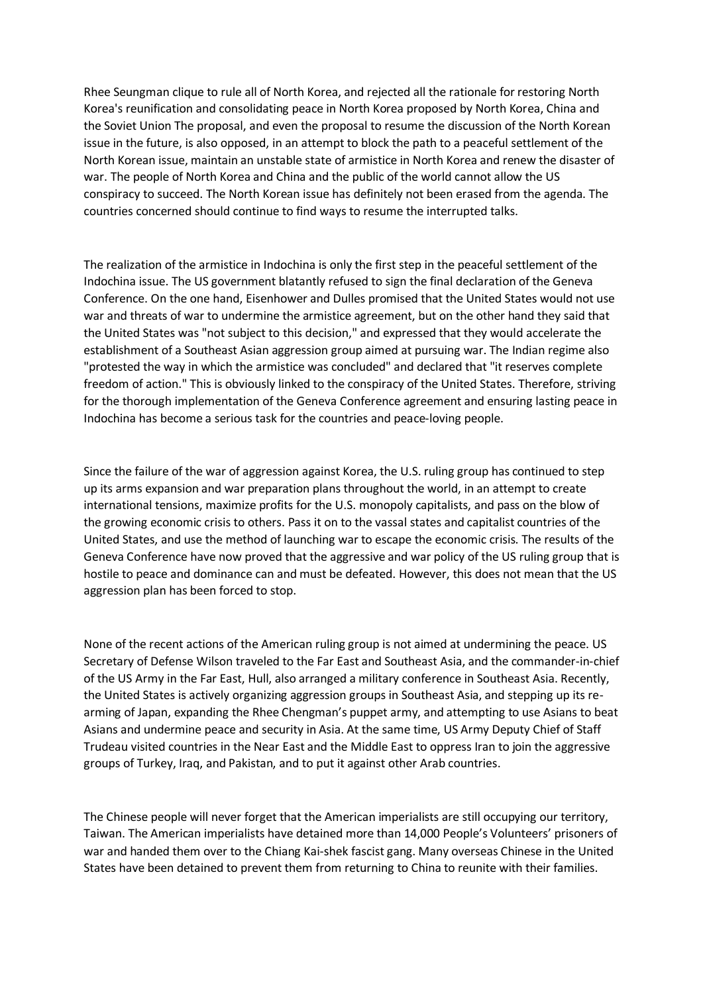Rhee Seungman clique to rule all of North Korea, and rejected all the rationale for restoring North Korea's reunification and consolidating peace in North Korea proposed by North Korea, China and the Soviet Union The proposal, and even the proposal to resume the discussion of the North Korean issue in the future, is also opposed, in an attempt to block the path to a peaceful settlement of the North Korean issue, maintain an unstable state of armistice in North Korea and renew the disaster of war. The people of North Korea and China and the public of the world cannot allow the US conspiracy to succeed. The North Korean issue has definitely not been erased from the agenda. The countries concerned should continue to find ways to resume the interrupted talks.

The realization of the armistice in Indochina is only the first step in the peaceful settlement of the Indochina issue. The US government blatantly refused to sign the final declaration of the Geneva Conference. On the one hand, Eisenhower and Dulles promised that the United States would not use war and threats of war to undermine the armistice agreement, but on the other hand they said that the United States was "not subject to this decision," and expressed that they would accelerate the establishment of a Southeast Asian aggression group aimed at pursuing war. The Indian regime also "protested the way in which the armistice was concluded" and declared that "it reserves complete freedom of action." This is obviously linked to the conspiracy of the United States. Therefore, striving for the thorough implementation of the Geneva Conference agreement and ensuring lasting peace in Indochina has become a serious task for the countries and peace-loving people.

Since the failure of the war of aggression against Korea, the U.S. ruling group has continued to step up its arms expansion and war preparation plans throughout the world, in an attempt to create international tensions, maximize profits for the U.S. monopoly capitalists, and pass on the blow of the growing economic crisis to others. Pass it on to the vassal states and capitalist countries of the United States, and use the method of launching war to escape the economic crisis. The results of the Geneva Conference have now proved that the aggressive and war policy of the US ruling group that is hostile to peace and dominance can and must be defeated. However, this does not mean that the US aggression plan has been forced to stop.

None of the recent actions of the American ruling group is not aimed at undermining the peace. US Secretary of Defense Wilson traveled to the Far East and Southeast Asia, and the commander-in-chief of the US Army in the Far East, Hull, also arranged a military conference in Southeast Asia. Recently, the United States is actively organizing aggression groups in Southeast Asia, and stepping up its rearming of Japan, expanding the Rhee Chengman's puppet army, and attempting to use Asians to beat Asians and undermine peace and security in Asia. At the same time, US Army Deputy Chief of Staff Trudeau visited countries in the Near East and the Middle East to oppress Iran to join the aggressive groups of Turkey, Iraq, and Pakistan, and to put it against other Arab countries.

The Chinese people will never forget that the American imperialists are still occupying our territory, Taiwan. The American imperialists have detained more than 14,000 People's Volunteers' prisoners of war and handed them over to the Chiang Kai-shek fascist gang. Many overseas Chinese in the United States have been detained to prevent them from returning to China to reunite with their families.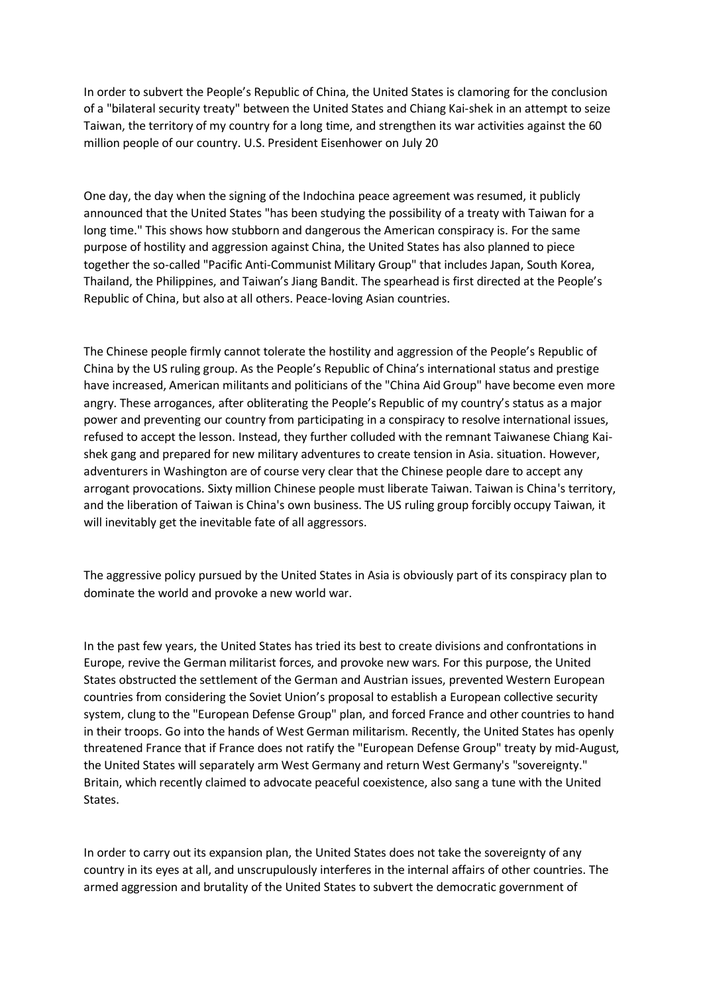In order to subvert the People's Republic of China, the United States is clamoring for the conclusion of a "bilateral security treaty" between the United States and Chiang Kai-shek in an attempt to seize Taiwan, the territory of my country for a long time, and strengthen its war activities against the 60 million people of our country. U.S. President Eisenhower on July 20

One day, the day when the signing of the Indochina peace agreement was resumed, it publicly announced that the United States "has been studying the possibility of a treaty with Taiwan for a long time." This shows how stubborn and dangerous the American conspiracy is. For the same purpose of hostility and aggression against China, the United States has also planned to piece together the so-called "Pacific Anti-Communist Military Group" that includes Japan, South Korea, Thailand, the Philippines, and Taiwan's Jiang Bandit. The spearhead is first directed at the People's Republic of China, but also at all others. Peace-loving Asian countries.

The Chinese people firmly cannot tolerate the hostility and aggression of the People's Republic of China by the US ruling group. As the People's Republic of China's international status and prestige have increased, American militants and politicians of the "China Aid Group" have become even more angry. These arrogances, after obliterating the People's Republic of my country's status as a major power and preventing our country from participating in a conspiracy to resolve international issues, refused to accept the lesson. Instead, they further colluded with the remnant Taiwanese Chiang Kaishek gang and prepared for new military adventures to create tension in Asia. situation. However, adventurers in Washington are of course very clear that the Chinese people dare to accept any arrogant provocations. Sixty million Chinese people must liberate Taiwan. Taiwan is China's territory, and the liberation of Taiwan is China's own business. The US ruling group forcibly occupy Taiwan, it will inevitably get the inevitable fate of all aggressors.

The aggressive policy pursued by the United States in Asia is obviously part of its conspiracy plan to dominate the world and provoke a new world war.

In the past few years, the United States has tried its best to create divisions and confrontations in Europe, revive the German militarist forces, and provoke new wars. For this purpose, the United States obstructed the settlement of the German and Austrian issues, prevented Western European countries from considering the Soviet Union's proposal to establish a European collective security system, clung to the "European Defense Group" plan, and forced France and other countries to hand in their troops. Go into the hands of West German militarism. Recently, the United States has openly threatened France that if France does not ratify the "European Defense Group" treaty by mid-August, the United States will separately arm West Germany and return West Germany's "sovereignty." Britain, which recently claimed to advocate peaceful coexistence, also sang a tune with the United States.

In order to carry out its expansion plan, the United States does not take the sovereignty of any country in its eyes at all, and unscrupulously interferes in the internal affairs of other countries. The armed aggression and brutality of the United States to subvert the democratic government of